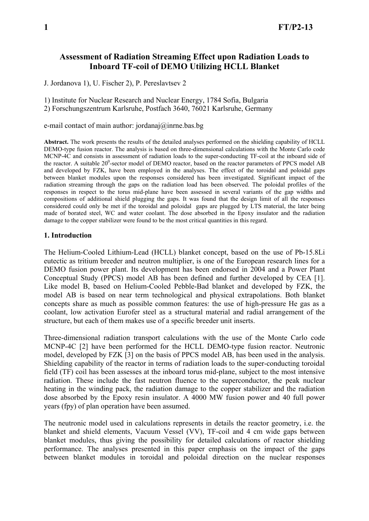# **Assessment of Radiation Streaming Effect upon Radiation Loads to Inboard TF-coil of DEMO Utilizing HCLL Blanket**

J. Jordanova 1), U. Fischer 2), P. Pereslavtsev 2

1) Institute for Nuclear Research and Nuclear Energy, 1784 Sofia, Bulgaria 2) Forschungszentrum Karlsruhe, Postfach 3640, 76021 Karlsruhe, Germany

### e-mail contact of main author: jordanaj@inrne.bas.bg

**Abstract.** The work presents the results of the detailed analyses performed on the shielding capability of HCLL DEMO-type fusion reactor. The analysis is based on three-dimensional calculations with the Monte Carlo code MCNP-4C and consists in assessment of radiation loads to the super-conducting TF-coil at the inboard side of the reactor. A suitable 20<sup>0</sup>-sector model of DEMO reactor, based on the reactor parameters of PPCS model AB and developed by FZK, have been employed in the analyses. The effect of the toroidal and poloidal gaps between blanket modules upon the responses considered has been investigated. Significant impact of the radiation streaming through the gaps on the radiation load has been observed. The poloidal profiles of the responses in respect to the torus mid-plane have been assessed in several variants of the gap widths and compositions of additional shield plugging the gaps. It was found that the design limit of all the responses considered could only be met if the toroidal and poloidal gaps are plugged by LTS material, the later being made of borated steel, WC and water coolant. The dose absorbed in the Epoxy insulator and the radiation damage to the copper stabilizer were found to be the most critical quantities in this regard.

#### **1. Introduction**

The Helium-Cooled Lithium-Lead (HCLL) blanket concept, based on the use of Pb-15.8Li eutectic as tritium breeder and neutron multiplier, is one of the European research lines for a DEMO fusion power plant. Its development has been endorsed in 2004 and a Power Plant Conceptual Study (PPCS) model AB has been defined and further developed by CEA [1]. Like model B, based on Helium-Cooled Pebble-Bad blanket and developed by FZK, the model AB is based on near term technological and physical extrapolations. Both blanket concepts share as much as possible common features: the use of high-pressure He gas as a coolant, low activation Eurofer steel as a structural material and radial arrangement of the structure, but each of them makes use of a specific breeder unit inserts.

Three-dimensional radiation transport calculations with the use of the Monte Carlo code MCNP-4C [2] have been performed for the HCLL DEMO-type fusion reactor. Neutronic model, developed by FZK [3] on the basis of PPCS model AB, has been used in the analysis. Shielding capability of the reactor in terms of radiation loads to the super-conducting toroidal field (TF) coil has been assesses at the inboard torus mid-plane, subject to the most intensive radiation. These include the fast neutron fluence to the superconductor, the peak nuclear heating in the winding pack, the radiation damage to the copper stabilizer and the radiation dose absorbed by the Epoxy resin insulator. A 4000 MW fusion power and 40 full power years (fpy) of plan operation have been assumed.

The neutronic model used in calculations represents in details the reactor geometry, i.e. the blanket and shield elements, Vacuum Vessel (VV), TF-coil and 4 cm wide gaps between blanket modules, thus giving the possibility for detailed calculations of reactor shielding performance. The analyses presented in this paper emphasis on the impact of the gaps between blanket modules in toroidal and poloidal direction on the nuclear responses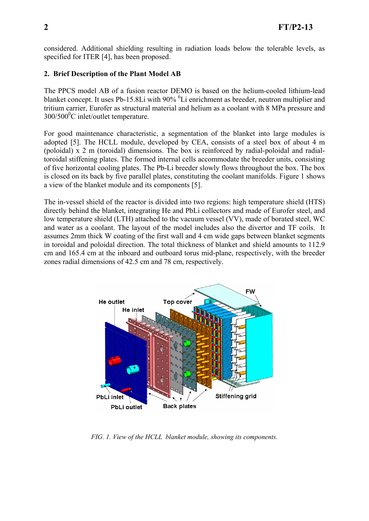considered. Additional shielding resulting in radiation loads below the tolerable levels, as specified for ITER [4], has been proposed.

### **2. Brief Description of the Plant Model AB**

The PPCS model AB of a fusion reactor DEMO is based on the helium-cooled lithium-lead blanket concept. It uses Pb-15.8Li with 90% <sup>6</sup>Li enrichment as breeder, neutron multiplier and tritium carrier, Eurofer as structural material and helium as a coolant with 8 MPa pressure and  $300/500$ <sup>o</sup>C inlet/outlet temperature.

For good maintenance characteristic, a segmentation of the blanket into large modules is adopted [5]. The HCLL module, developed by CEA, consists of a steel box of about 4 m (poloidal) x 2 m (toroidal) dimensions. The box is reinforced by radial-poloidal and radialtoroidal stiffening plates. The formed internal cells accommodate the breeder units, consisting of five horizontal cooling plates. The Pb-Li breeder slowly flows throughout the box. The box is closed on its back by five parallel plates, constituting the coolant manifolds. Figure 1 shows a view of the blanket module and its components [5].

The in-vessel shield of the reactor is divided into two regions: high temperature shield (HTS) directly behind the blanket, integrating He and PbLi collectors and made of Eurofer steel, and low temperature shield (LTH) attached to the vacuum vessel (VV), made of borated steel, WC and water as a coolant. The layout of the model includes also the divertor and TF coils. It assumes 2mm thick W coating of the first wall and 4 cm wide gaps between blanket segments in toroidal and poloidal direction. The total thickness of blanket and shield amounts to 112.9 cm and 165.4 cm at the inboard and outboard torus mid-plane, respectively, with the breeder zones radial dimensions of 42.5 cm and 78 cm, respectively.



*FIG. 1. View of the HCLL blanket module, showing its components.*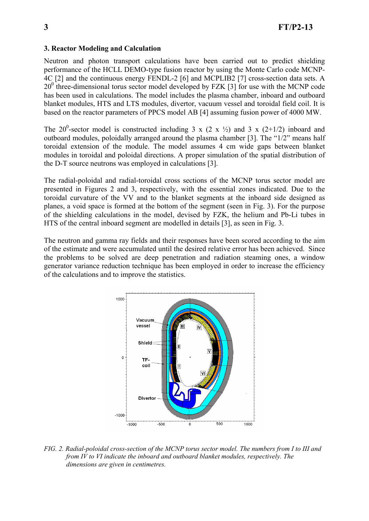## **3. Reactor Modeling and Calculation**

Neutron and photon transport calculations have been carried out to predict shielding performance of the HCLL DEMO-type fusion reactor by using the Monte Carlo code MCNP-4C [2] and the continuous energy FENDL-2 [6] and MCPLIB2 [7] cross-section data sets. A 20<sup>0</sup> three-dimensional torus sector model developed by FZK [3] for use with the MCNP code has been used in calculations. The model includes the plasma chamber, inboard and outboard blanket modules, HTS and LTS modules, divertor, vacuum vessel and toroidal field coil. It is based on the reactor parameters of PPCS model AB [4] assuming fusion power of 4000 MW.

The 20<sup>0</sup>-sector model is constructed including 3 x (2 x  $\frac{1}{2}$ ) and 3 x (2+1/2) inboard and outboard modules, poloidally arranged around the plasma chamber [3]. The "1/2" means half toroidal extension of the module. The model assumes 4 cm wide gaps between blanket modules in toroidal and poloidal directions. A proper simulation of the spatial distribution of the D-T source neutrons was employed in calculations [3].

The radial-poloidal and radial-toroidal cross sections of the MCNP torus sector model are presented in Figures 2 and 3, respectively, with the essential zones indicated. Due to the toroidal curvature of the VV and to the blanket segments at the inboard side designed as planes, a void space is formed at the bottom of the segment (seen in Fig. 3). For the purpose of the shielding calculations in the model, devised by FZK, the helium and Pb-Li tubes in HTS of the central inboard segment are modelled in details [3], as seen in Fig. 3.

The neutron and gamma ray fields and their responses have been scored according to the aim of the estimate and were accumulated until the desired relative error has been achieved. Since the problems to be solved are deep penetration and radiation steaming ones, a window generator variance reduction technique has been employed in order to increase the efficiency of the calculations and to improve the statistics.



*FIG. 2. Radial-poloidal cross-section of the MCNP torus sector model. The numbers from I to III and from IV to VI indicate the inboard and outboard blanket modules, respectively. The dimensions are given in centimetres.*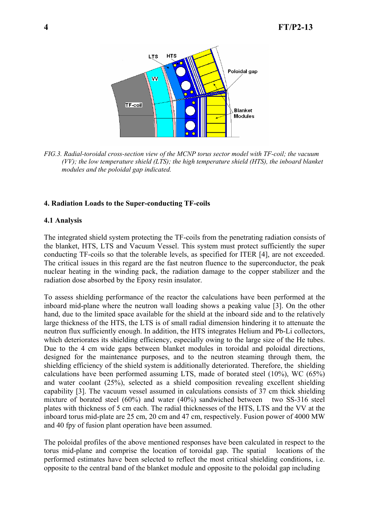

*FIG.3. Radial-toroidal cross-section view of the MCNP torus sector model with TF-coil; the vacuum (VV); the low temperature shield (LTS); the high temperature shield (HTS), the inboard blanket modules and the poloidal gap indicated.* 

#### **4. Radiation Loads to the Super-conducting TF-coils**

#### **4.1 Analysis**

The integrated shield system protecting the TF-coils from the penetrating radiation consists of the blanket, HTS, LTS and Vacuum Vessel. This system must protect sufficiently the super conducting TF-coils so that the tolerable levels, as specified for ITER [4], are not exceeded. The critical issues in this regard are the fast neutron fluence to the superconductor, the peak nuclear heating in the winding pack, the radiation damage to the copper stabilizer and the radiation dose absorbed by the Epoxy resin insulator.

To assess shielding performance of the reactor the calculations have been performed at the inboard mid-plane where the neutron wall loading shows a peaking value [3]. On the other hand, due to the limited space available for the shield at the inboard side and to the relatively large thickness of the HTS, the LTS is of small radial dimension hindering it to attenuate the neutron flux sufficiently enough. In addition, the HTS integrates Helium and Pb-Li collectors, which deteriorates its shielding efficiency, especially owing to the large size of the He tubes. Due to the 4 cm wide gaps between blanket modules in toroidal and poloidal directions, designed for the maintenance purposes, and to the neutron steaming through them, the shielding efficiency of the shield system is additionally deteriorated. Therefore, the shielding calculations have been performed assuming LTS, made of borated steel (10%), WC (65%) and water coolant (25%), selected as a shield composition revealing excellent shielding capability [3]. The vacuum vessel assumed in calculations consists of 37 cm thick shielding mixture of borated steel (60%) and water (40%) sandwiched between two SS-316 steel plates with thickness of 5 cm each. The radial thicknesses of the HTS, LTS and the VV at the inboard torus mid-plate are 25 cm, 20 cm and 47 cm, respectively. Fusion power of 4000 MW and 40 fpy of fusion plant operation have been assumed.

The poloidal profiles of the above mentioned responses have been calculated in respect to the torus mid-plane and comprise the location of toroidal gap. The spatial locations of the performed estimates have been selected to reflect the most critical shielding conditions, i.e. opposite to the central band of the blanket module and opposite to the poloidal gap including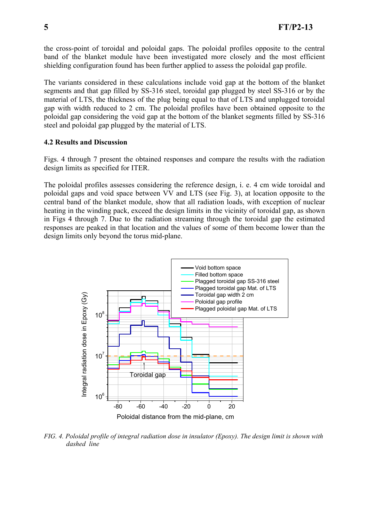the cross-point of toroidal and poloidal gaps. The poloidal profiles opposite to the central band of the blanket module have been investigated more closely and the most efficient shielding configuration found has been further applied to assess the poloidal gap profile.

The variants considered in these calculations include void gap at the bottom of the blanket segments and that gap filled by SS-316 steel, toroidal gap plugged by steel SS-316 or by the material of LTS, the thickness of the plug being equal to that of LTS and unplugged toroidal gap with width reduced to 2 cm. The poloidal profiles have been obtained opposite to the poloidal gap considering the void gap at the bottom of the blanket segments filled by SS-316 steel and poloidal gap plugged by the material of LTS.

### **4.2 Results and Discussion**

Figs. 4 through 7 present the obtained responses and compare the results with the radiation design limits as specified for ITER.

The poloidal profiles assesses considering the reference design, i. e. 4 cm wide toroidal and poloidal gaps and void space between VV and LTS (see Fig. 3), at location opposite to the central band of the blanket module, show that all radiation loads, with exception of nuclear heating in the winding pack, exceed the design limits in the vicinity of toroidal gap, as shown in Figs 4 through 7. Due to the radiation streaming through the toroidal gap the estimated responses are peaked in that location and the values of some of them become lower than the design limits only beyond the torus mid-plane.



*FIG. 4. Poloidal profile of integral radiation dose in insulator (Epoxy). The design limit is shown with dashed line*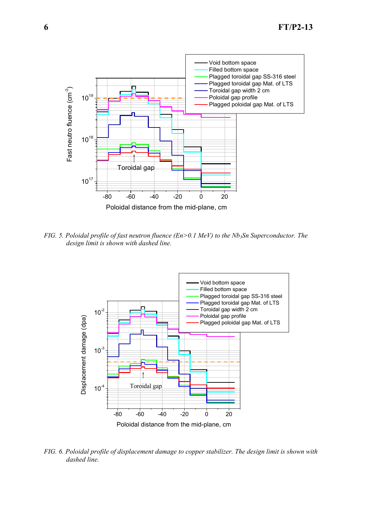

*FIG. 5. Poloidal profile of fast neutron fluence (En>0.1 MeV) to the Nb<sub>3</sub>Sn Superconductor. The design limit is shown with dashed line.* 



*FIG. 6. Poloidal profile of displacement damage to copper stabilizer. The design limit is shown with dashed line.*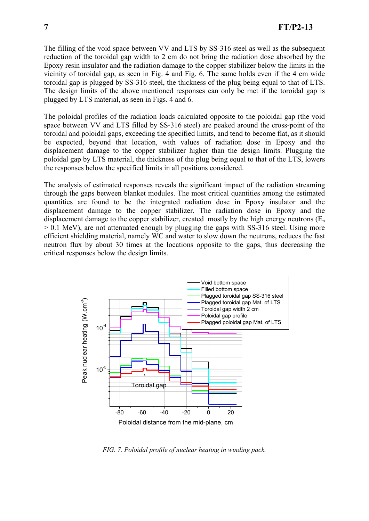The filling of the void space between VV and LTS by SS-316 steel as well as the subsequent reduction of the toroidal gap width to 2 cm do not bring the radiation dose absorbed by the Epoxy resin insulator and the radiation damage to the copper stabilizer below the limits in the vicinity of toroidal gap, as seen in Fig. 4 and Fig. 6. The same holds even if the 4 cm wide toroidal gap is plugged by SS-316 steel, the thickness of the plug being equal to that of LTS. The design limits of the above mentioned responses can only be met if the toroidal gap is plugged by LTS material, as seen in Figs. 4 and 6.

The poloidal profiles of the radiation loads calculated opposite to the poloidal gap (the void space between VV and LTS filled by SS-316 steel) are peaked around the cross-point of the toroidal and poloidal gaps, exceeding the specified limits, and tend to become flat, as it should be expected, beyond that location, with values of radiation dose in Epoxy and the displacement damage to the copper stabilizer higher than the design limits. Plugging the poloidal gap by LTS material, the thickness of the plug being equal to that of the LTS, lowers the responses below the specified limits in all positions considered.

The analysis of estimated responses reveals the significant impact of the radiation streaming through the gaps between blanket modules. The most critical quantities among the estimated quantities are found to be the integrated radiation dose in Epoxy insulator and the displacement damage to the copper stabilizer. The radiation dose in Epoxy and the displacement damage to the copper stabilizer, created mostly by the high energy neutrons  $(E_n)$ > 0.1 MeV), are not attenuated enough by plugging the gaps with SS-316 steel. Using more efficient shielding material, namely WC and water to slow down the neutrons, reduces the fast neutron flux by about 30 times at the locations opposite to the gaps, thus decreasing the critical responses below the design limits.



*FIG. 7. Poloidal profile of nuclear heating in winding pack.*